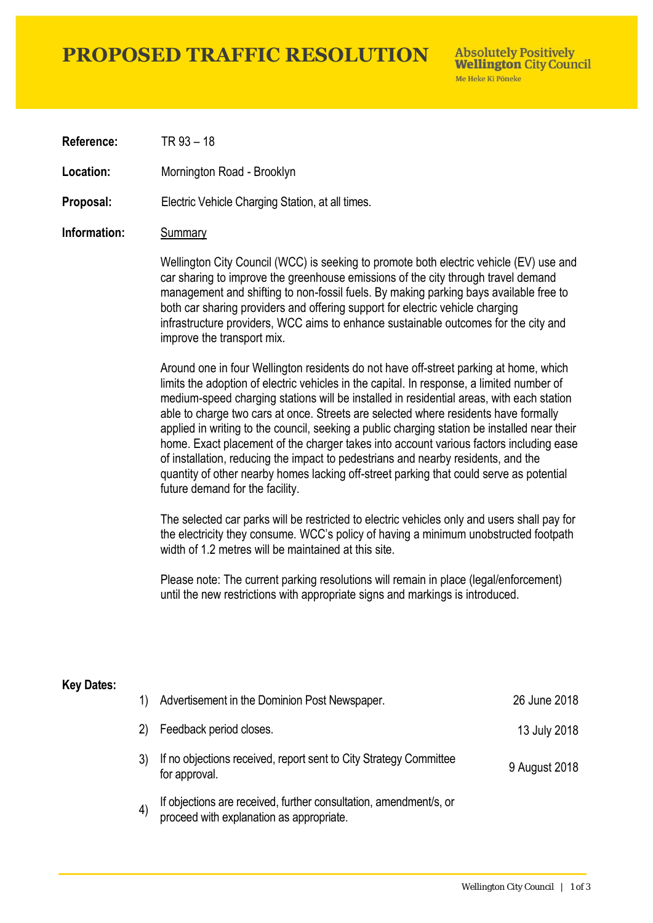# **PROPOSED TRAFFIC RESOLUTION**

**Absolutely Positively Wellington City Council** Me Heke Ki Pôneke

**Reference:** TR 93 – 18

**Location:** Mornington Road - Brooklyn

**Proposal:** Electric Vehicle Charging Station, at all times.

### **Information:** Summary

Wellington City Council (WCC) is seeking to promote both electric vehicle (EV) use and car sharing to improve the greenhouse emissions of the city through travel demand management and shifting to non-fossil fuels. By making parking bays available free to both car sharing providers and offering support for electric vehicle charging infrastructure providers, WCC aims to enhance sustainable outcomes for the city and improve the transport mix.

Around one in four Wellington residents do not have off-street parking at home, which limits the adoption of electric vehicles in the capital. In response, a limited number of medium-speed charging stations will be installed in residential areas, with each station able to charge two cars at once. Streets are selected where residents have formally applied in writing to the council, seeking a public charging station be installed near their home. Exact placement of the charger takes into account various factors including ease of installation, reducing the impact to pedestrians and nearby residents, and the quantity of other nearby homes lacking off-street parking that could serve as potential future demand for the facility.

The selected car parks will be restricted to electric vehicles only and users shall pay for the electricity they consume. WCC's policy of having a minimum unobstructed footpath width of 1.2 metres will be maintained at this site.

Please note: The current parking resolutions will remain in place (legal/enforcement) until the new restrictions with appropriate signs and markings is introduced.

#### **Key Dates:**

| 1) | Advertisement in the Dominion Post Newspaper.                                                                 | 26 June 2018  |
|----|---------------------------------------------------------------------------------------------------------------|---------------|
| 2) | Feedback period closes.                                                                                       | 13 July 2018  |
|    | If no objections received, report sent to City Strategy Committee<br>for approval.                            | 9 August 2018 |
|    | If objections are received, further consultation, amendment/s, or<br>proceed with explanation as appropriate. |               |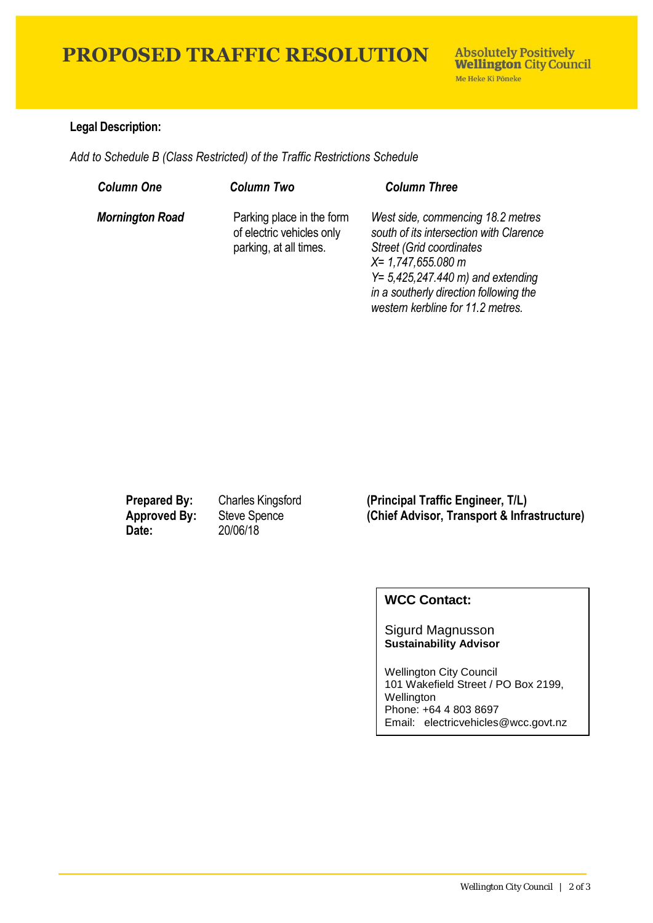# **PROPOSED TRAFFIC RESOLUTION**

## **Legal Description:**

*Add to Schedule B (Class Restricted) of the Traffic Restrictions Schedule* 

| <b>Column One</b>      | <b>Column Two</b>                                                                | <b>Column Three</b>                                                                                                                                                                                                                                                     |
|------------------------|----------------------------------------------------------------------------------|-------------------------------------------------------------------------------------------------------------------------------------------------------------------------------------------------------------------------------------------------------------------------|
| <b>Mornington Road</b> | Parking place in the form<br>of electric vehicles only<br>parking, at all times. | West side, commencing 18.2 metres<br>south of its intersection with Clarence<br><b>Street (Grid coordinates)</b><br>$X = 1,747,655.080$ m<br>$Y = 5,425,247.440 \text{ m}$ and extending<br>in a southerly direction following the<br>western kerbline for 11.2 metres. |

**Date:** 20/06/18

**Prepared By:** Charles Kingsford **(Principal Traffic Engineer, T/L) Approved By:** Steve Spence **(Chief Advisor, Transport & Infrastructure)**

## **WCC Contact:**

#### Sigurd Magnusson **Sustainability Advisor**

Wellington City Council 101 Wakefield Street / PO Box 2199, Wellington Phone: +64 4 803 8697 Email: electricvehicles@wcc.govt.nz